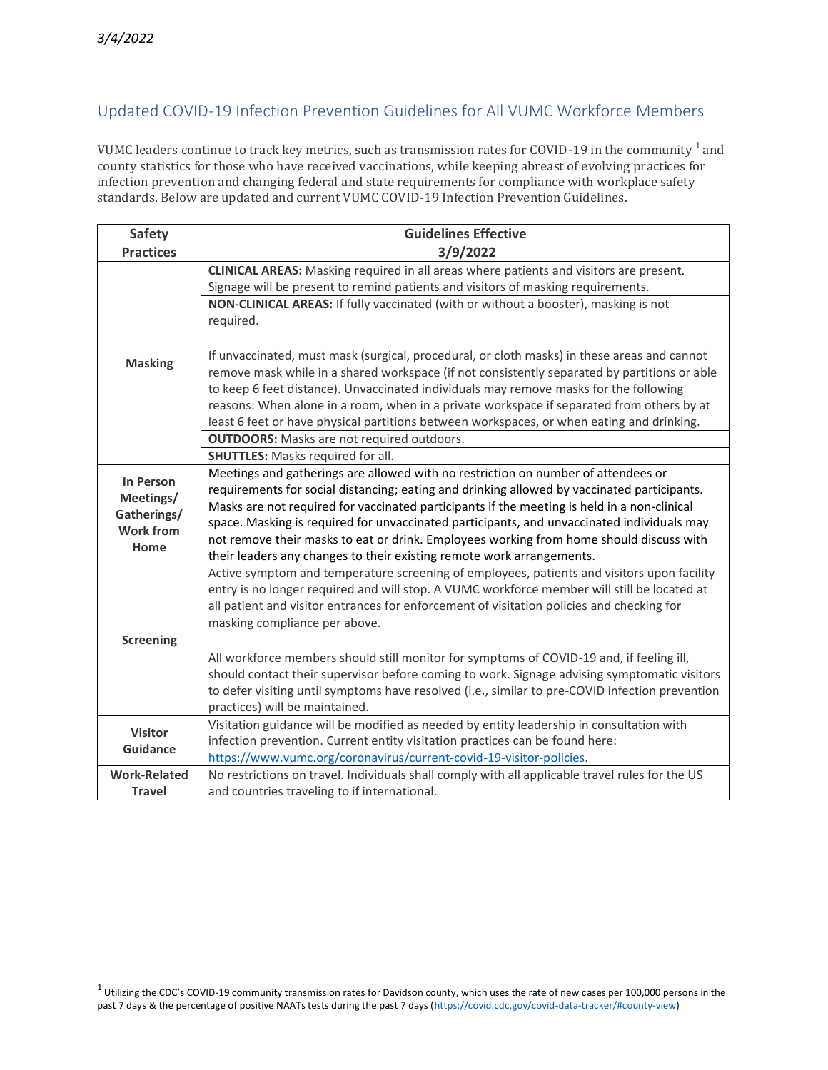## Updated COVID-19 Infection Prevention Guidelines for All VUMC Workforce Members

VUMC leaders continue to track key metrics, such as transmission rates for COVID-19 in the community <sup>1</sup> and county statistics for those who have received vaccinations, while keeping abreast of evolving practices for infection prevention and changing federal and state requirements for compliance with workplace safety standards. Below are updated and current VUMC COVID-19 Infection Prevention Guidelines.

| <b>Safety</b>                                                     | <b>Guidelines Effective</b>                                                                                                                                                                                                                                                                                                                                                                                                                                                                                                                       |
|-------------------------------------------------------------------|---------------------------------------------------------------------------------------------------------------------------------------------------------------------------------------------------------------------------------------------------------------------------------------------------------------------------------------------------------------------------------------------------------------------------------------------------------------------------------------------------------------------------------------------------|
| <b>Practices</b>                                                  | 3/9/2022                                                                                                                                                                                                                                                                                                                                                                                                                                                                                                                                          |
|                                                                   | <b>CLINICAL AREAS:</b> Masking required in all areas where patients and visitors are present.                                                                                                                                                                                                                                                                                                                                                                                                                                                     |
|                                                                   | Signage will be present to remind patients and visitors of masking requirements.                                                                                                                                                                                                                                                                                                                                                                                                                                                                  |
|                                                                   | NON-CLINICAL AREAS: If fully vaccinated (with or without a booster), masking is not                                                                                                                                                                                                                                                                                                                                                                                                                                                               |
|                                                                   | required.                                                                                                                                                                                                                                                                                                                                                                                                                                                                                                                                         |
| <b>Masking</b>                                                    | If unvaccinated, must mask (surgical, procedural, or cloth masks) in these areas and cannot<br>remove mask while in a shared workspace (if not consistently separated by partitions or able<br>to keep 6 feet distance). Unvaccinated individuals may remove masks for the following<br>reasons: When alone in a room, when in a private workspace if separated from others by at<br>least 6 feet or have physical partitions between workspaces, or when eating and drinking.                                                                    |
|                                                                   | <b>OUTDOORS:</b> Masks are not required outdoors.                                                                                                                                                                                                                                                                                                                                                                                                                                                                                                 |
|                                                                   | <b>SHUTTLES:</b> Masks required for all.                                                                                                                                                                                                                                                                                                                                                                                                                                                                                                          |
| In Person<br>Meetings/<br>Gatherings/<br><b>Work from</b><br>Home | Meetings and gatherings are allowed with no restriction on number of attendees or<br>requirements for social distancing; eating and drinking allowed by vaccinated participants.<br>Masks are not required for vaccinated participants if the meeting is held in a non-clinical<br>space. Masking is required for unvaccinated participants, and unvaccinated individuals may<br>not remove their masks to eat or drink. Employees working from home should discuss with<br>their leaders any changes to their existing remote work arrangements. |
| <b>Screening</b>                                                  | Active symptom and temperature screening of employees, patients and visitors upon facility<br>entry is no longer required and will stop. A VUMC workforce member will still be located at<br>all patient and visitor entrances for enforcement of visitation policies and checking for<br>masking compliance per above.                                                                                                                                                                                                                           |
|                                                                   | All workforce members should still monitor for symptoms of COVID-19 and, if feeling ill,<br>should contact their supervisor before coming to work. Signage advising symptomatic visitors<br>to defer visiting until symptoms have resolved (i.e., similar to pre-COVID infection prevention<br>practices) will be maintained.                                                                                                                                                                                                                     |
| <b>Visitor</b>                                                    | Visitation guidance will be modified as needed by entity leadership in consultation with                                                                                                                                                                                                                                                                                                                                                                                                                                                          |
| Guidance                                                          | infection prevention. Current entity visitation practices can be found here:                                                                                                                                                                                                                                                                                                                                                                                                                                                                      |
|                                                                   | https://www.vumc.org/coronavirus/current-covid-19-visitor-policies.                                                                                                                                                                                                                                                                                                                                                                                                                                                                               |
| <b>Work-Related</b>                                               | No restrictions on travel. Individuals shall comply with all applicable travel rules for the US                                                                                                                                                                                                                                                                                                                                                                                                                                                   |
| <b>Travel</b>                                                     | and countries traveling to if international.                                                                                                                                                                                                                                                                                                                                                                                                                                                                                                      |